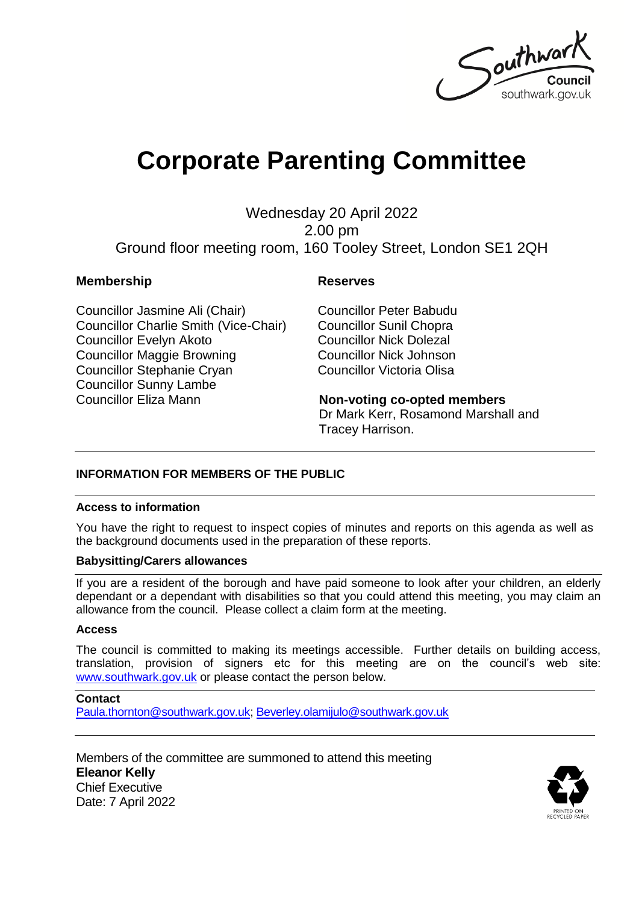

# **Corporate Parenting Committee**

Wednesday 20 April 2022 2.00 pm Ground floor meeting room, 160 Tooley Street, London SE1 2QH

#### **Membership Reserves**

Councillor Jasmine Ali (Chair) Councillor Charlie Smith (Vice-Chair) Councillor Evelyn Akoto Councillor Maggie Browning Councillor Stephanie Cryan Councillor Sunny Lambe Councillor Eliza Mann

Councillor Peter Babudu Councillor Sunil Chopra Councillor Nick Dolezal Councillor Nick Johnson Councillor Victoria Olisa

#### **Non-voting co-opted members**

Dr Mark Kerr, Rosamond Marshall and Tracey Harrison.

#### **INFORMATION FOR MEMBERS OF THE PUBLIC**

#### **Access to information**

You have the right to request to inspect copies of minutes and reports on this agenda as well as the background documents used in the preparation of these reports.

#### **Babysitting/Carers allowances**

If you are a resident of the borough and have paid someone to look after your children, an elderly dependant or a dependant with disabilities so that you could attend this meeting, you may claim an allowance from the council. Please collect a claim form at the meeting.

#### **Access**

The council is committed to making its meetings accessible. Further details on building access, translation, provision of signers etc for this meeting are on the council's web site: [www.southwark.gov.uk](http://www.southwark.gov.uk/Public/Home.aspx) or please contact the person below.

#### **Contact**

[Paula.thornton@southwark.gov.uk;](mailto:Paula.thornton@southwark.gov.uk) [Beverley.olamijulo@southwark.gov.uk](mailto:Beverley.olamijulo@southwark.gov.uk)

Members of the committee are summoned to attend this meeting **Eleanor Kelly** Chief Executive Date: 7 April 2022

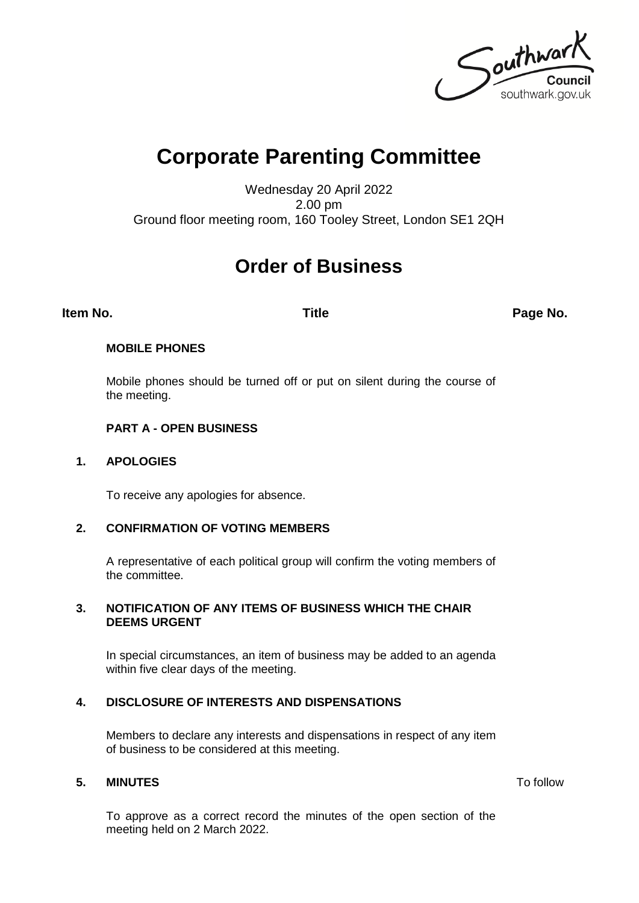Southwark southwark.gov.uk

## **Corporate Parenting Committee**

Wednesday 20 April 2022 2.00 pm Ground floor meeting room, 160 Tooley Street, London SE1 2QH

### **Order of Business**

**Item No. Title Page No.**

#### **MOBILE PHONES**

Mobile phones should be turned off or put on silent during the course of the meeting.

#### **PART A - OPEN BUSINESS**

#### **1. APOLOGIES**

To receive any apologies for absence.

#### **2. CONFIRMATION OF VOTING MEMBERS**

A representative of each political group will confirm the voting members of the committee.

#### **3. NOTIFICATION OF ANY ITEMS OF BUSINESS WHICH THE CHAIR DEEMS URGENT**

In special circumstances, an item of business may be added to an agenda within five clear days of the meeting.

#### **4. DISCLOSURE OF INTERESTS AND DISPENSATIONS**

Members to declare any interests and dispensations in respect of any item of business to be considered at this meeting.

#### **5. MINUTES** To follow

To approve as a correct record the minutes of the open section of the meeting held on 2 March 2022.